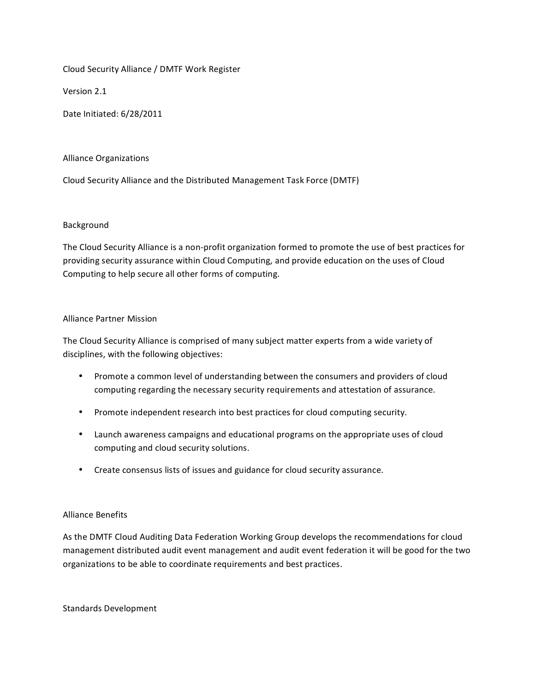Cloud Security Alliance / DMTF Work Register

Version 2.1

Date Initiated: 6/28/2011

#### Alliance Organizations

Cloud Security Alliance and the Distributed Management Task Force (DMTF)

### Background

The Cloud Security Alliance is a non-profit organization formed to promote the use of best practices for providing security assurance within Cloud Computing, and provide education on the uses of Cloud Computing to help secure all other forms of computing.

### Alliance Partner Mission

The Cloud Security Alliance is comprised of many subject matter experts from a wide variety of disciplines, with the following objectives:

- Promote a common level of understanding between the consumers and providers of cloud computing regarding the necessary security requirements and attestation of assurance.
- Promote independent research into best practices for cloud computing security.
- Launch awareness campaigns and educational programs on the appropriate uses of cloud computing and cloud security solutions.
- Create consensus lists of issues and guidance for cloud security assurance.

## Alliance Benefits

As the DMTF Cloud Auditing Data Federation Working Group develops the recommendations for cloud management distributed audit event management and audit event federation it will be good for the two organizations to be able to coordinate requirements and best practices.

Standards Development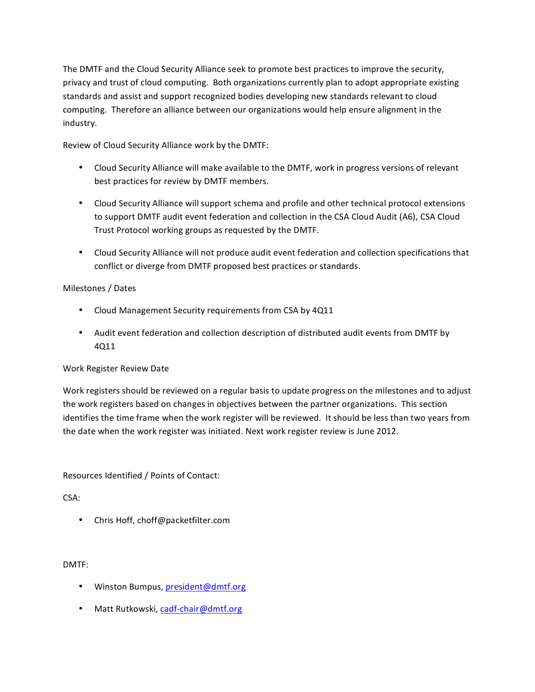The DMTF and the Cloud Security Alliance seek to promote best practices to improve the security, privacy and trust of cloud computing. Both organizations currently plan to adopt appropriate existing standards and assist and support recognized bodies developing new standards relevant to cloud computing. Therefore an alliance between our organizations would help ensure alignment in the industry.

Review of Cloud Security Alliance work by the DMTF:

- Cloud Security Alliance will make available to the DMTF, work in progress versions of relevant best practices for review by DMTF members.
- Cloud Security Alliance will support schema and profile and other technical protocol extensions to support DMTF audit event federation and collection in the CSA Cloud Audit (A6), CSA Cloud Trust Protocol working groups as requested by the DMTF.
- Cloud Security Alliance will not produce audit event federation and collection specifications that conflict or diverge from DMTF proposed best practices or standards.

# Milestones / Dates

- Cloud Management Security requirements from CSA by 4Q11
- Audit event federation and collection description of distributed audit events from DMTF by 4Q11&

## Work Register Review Date

Work registers should be reviewed on a regular basis to update progress on the milestones and to adjust the work registers based on changes in objectives between the partner organizations. This section identifies the time frame when the work register will be reviewed. It should be less than two years from the date when the work register was initiated. Next work register review is June 2012.

Resources Identified / Points of Contact:

# CSA:

• Chris Hoff, choff@packetfilter.com

DMTF:

- Winston Bumpus, president@dmtf.org
- Matt Rutkowski, cadf-chair@dmtf.org